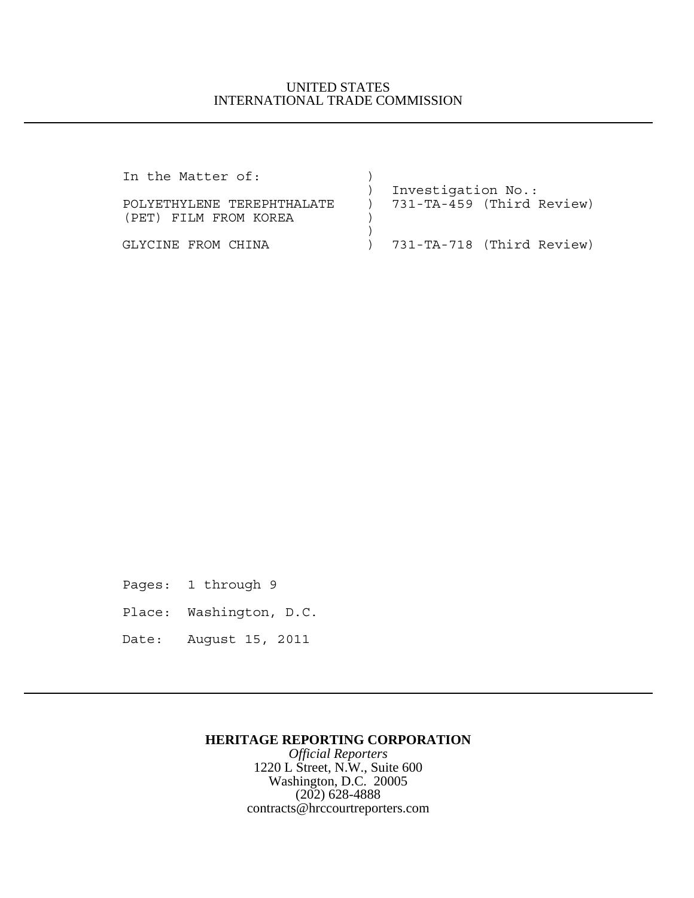## UNITED STATES INTERNATIONAL TRADE COMMISSION

| In the Matter of:          |                             |
|----------------------------|-----------------------------|
|                            | Investigation No.:          |
| POLYETHYLENE TEREPHTHALATE | ) 731-TA-459 (Third Review) |
| (PET) FILM FROM KOREA      |                             |
|                            |                             |
| GLYCINE FROM CHINA         | ) 731-TA-718 (Third Review) |

Pages: 1 through 9

Place: Washington, D.C.

Date: August 15, 2011

## **HERITAGE REPORTING CORPORATION**

*Official Reporters* 1220 L Street, N.W., Suite 600 Washington, D.C. 20005 (202) 628-4888 contracts@hrccourtreporters.com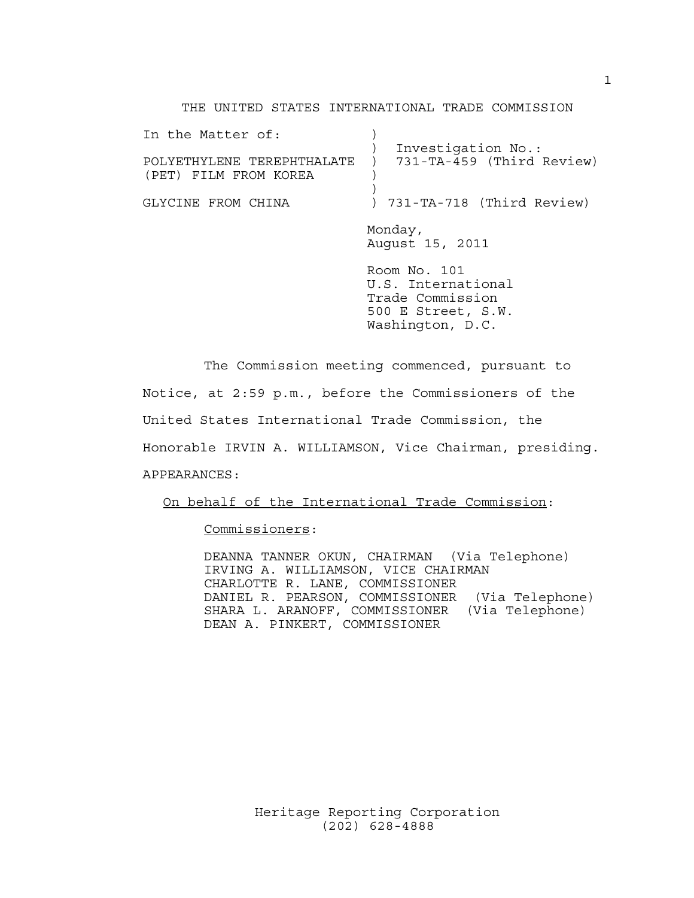### THE UNITED STATES INTERNATIONAL TRADE COMMISSION

| In the Matter of:                                   |                                                                                                  |
|-----------------------------------------------------|--------------------------------------------------------------------------------------------------|
| POLYETHYLENE TEREPHTHALATE<br>(PET) FILM FROM KOREA | Investigation No.:<br>731-TA-459 (Third Review)                                                  |
| GLYCINE FROM CHINA                                  | ) 731-TA-718 (Third Review)                                                                      |
|                                                     | Monday,<br>August 15, 2011                                                                       |
|                                                     | Room No. 101<br>U.S. International<br>Trade Commission<br>500 E Street, S.W.<br>Washington, D.C. |

The Commission meeting commenced, pursuant to Notice, at 2:59 p.m., before the Commissioners of the United States International Trade Commission, the Honorable IRVIN A. WILLIAMSON, Vice Chairman, presiding. APPEARANCES:

On behalf of the International Trade Commission:

Commissioners:

DEANNA TANNER OKUN, CHAIRMAN (Via Telephone) IRVING A. WILLIAMSON, VICE CHAIRMAN CHARLOTTE R. LANE, COMMISSIONER DANIEL R. PEARSON, COMMISSIONER (Via Telephone) SHARA L. ARANOFF, COMMISSIONER (Via Telephone) DEAN A. PINKERT, COMMISSIONER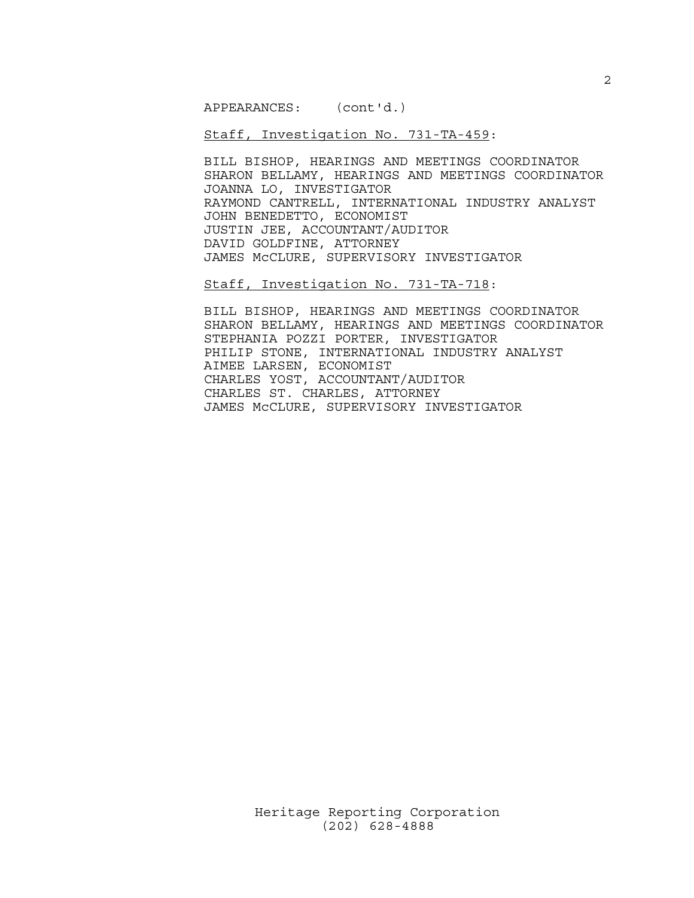APPEARANCES: (cont'd.)

Staff, Investigation No. 731-TA-459:

BILL BISHOP, HEARINGS AND MEETINGS COORDINATOR SHARON BELLAMY, HEARINGS AND MEETINGS COORDINATOR JOANNA LO, INVESTIGATOR RAYMOND CANTRELL, INTERNATIONAL INDUSTRY ANALYST JOHN BENEDETTO, ECONOMIST JUSTIN JEE, ACCOUNTANT/AUDITOR DAVID GOLDFINE, ATTORNEY JAMES McCLURE, SUPERVISORY INVESTIGATOR

Staff, Investigation No. 731-TA-718:

BILL BISHOP, HEARINGS AND MEETINGS COORDINATOR SHARON BELLAMY, HEARINGS AND MEETINGS COORDINATOR STEPHANIA POZZI PORTER, INVESTIGATOR PHILIP STONE, INTERNATIONAL INDUSTRY ANALYST AIMEE LARSEN, ECONOMIST CHARLES YOST, ACCOUNTANT/AUDITOR CHARLES ST. CHARLES, ATTORNEY JAMES McCLURE, SUPERVISORY INVESTIGATOR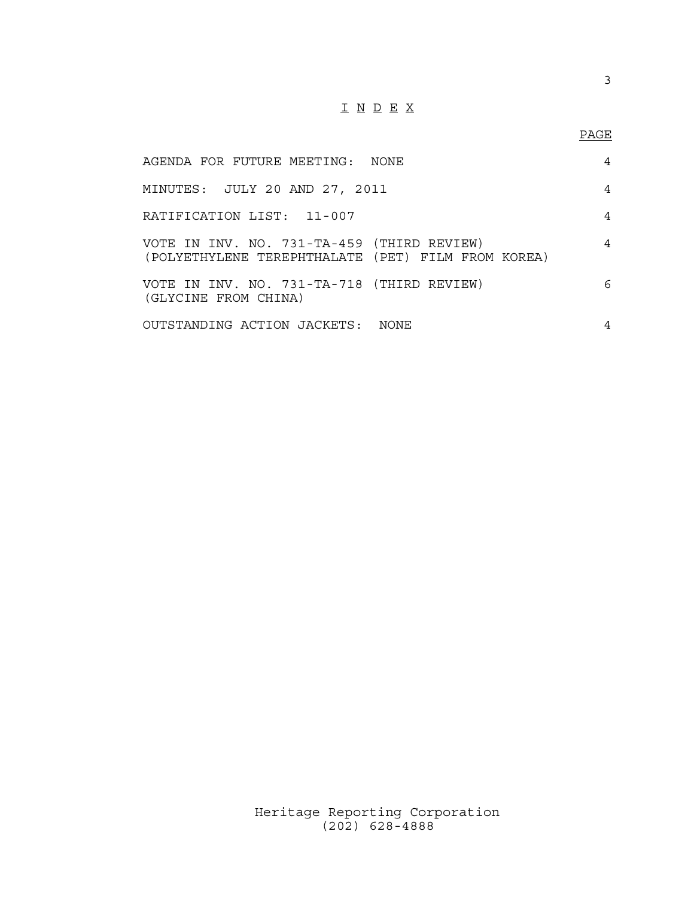# I N D E X

## PAGE

| AGENDA FOR FUTURE MEETING: NONE                                                                  | 4              |
|--------------------------------------------------------------------------------------------------|----------------|
| MINUTES: JULY 20 AND 27, 2011                                                                    | 4              |
| RATIFICATION LIST: 11-007                                                                        | 4              |
| VOTE IN INV. NO. 731-TA-459 (THIRD REVIEW)<br>(POLYETHYLENE TEREPHTHALATE (PET) FILM FROM KOREA) | $\overline{4}$ |
| VOTE IN INV. NO. 731-TA-718 (THIRD REVIEW)<br>(GLYCINE FROM CHINA)                               | 6              |
| OUTSTANDING ACTION JACKETS: NONE                                                                 | 4              |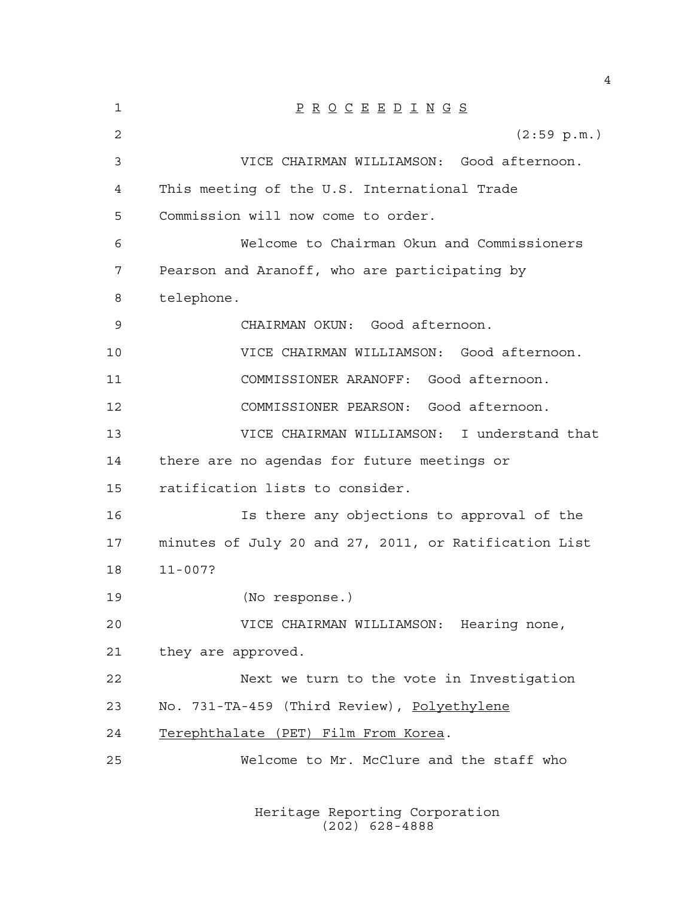| 1              | $\underline{P} \underline{R} \underline{O} \underline{C} \underline{E} \underline{E} \underline{D} \underline{I} \underline{N} \underline{G} \underline{S}$ |
|----------------|-------------------------------------------------------------------------------------------------------------------------------------------------------------|
| $\overline{2}$ | $(2:59 \text{ p.m.})$                                                                                                                                       |
| 3              | VICE CHAIRMAN WILLIAMSON: Good afternoon.                                                                                                                   |
| 4              | This meeting of the U.S. International Trade                                                                                                                |
| 5              | Commission will now come to order.                                                                                                                          |
| 6              | Welcome to Chairman Okun and Commissioners                                                                                                                  |
| 7              | Pearson and Aranoff, who are participating by                                                                                                               |
| 8              | telephone.                                                                                                                                                  |
| 9              | CHAIRMAN OKUN: Good afternoon.                                                                                                                              |
| 10             | VICE CHAIRMAN WILLIAMSON: Good afternoon.                                                                                                                   |
| 11             | COMMISSIONER ARANOFF: Good afternoon.                                                                                                                       |
| 12             | COMMISSIONER PEARSON: Good afternoon.                                                                                                                       |
| 13             | VICE CHAIRMAN WILLIAMSON: I understand that                                                                                                                 |
| 14             | there are no agendas for future meetings or                                                                                                                 |
| 15             | ratification lists to consider.                                                                                                                             |
| 16             | Is there any objections to approval of the                                                                                                                  |
| 17             | minutes of July 20 and 27, 2011, or Ratification List                                                                                                       |
| 18             | $11 - 007?$                                                                                                                                                 |
| 19             | (No response.)                                                                                                                                              |
| 20             | VICE CHAIRMAN WILLIAMSON: Hearing none,                                                                                                                     |
| 21             | they are approved.                                                                                                                                          |
| 22             | Next we turn to the vote in Investigation                                                                                                                   |
| 23             | No. 731-TA-459 (Third Review), Polyethylene                                                                                                                 |
| 24             | Terephthalate (PET) Film From Korea.                                                                                                                        |
| 25             | Welcome to Mr. McClure and the staff who                                                                                                                    |
|                |                                                                                                                                                             |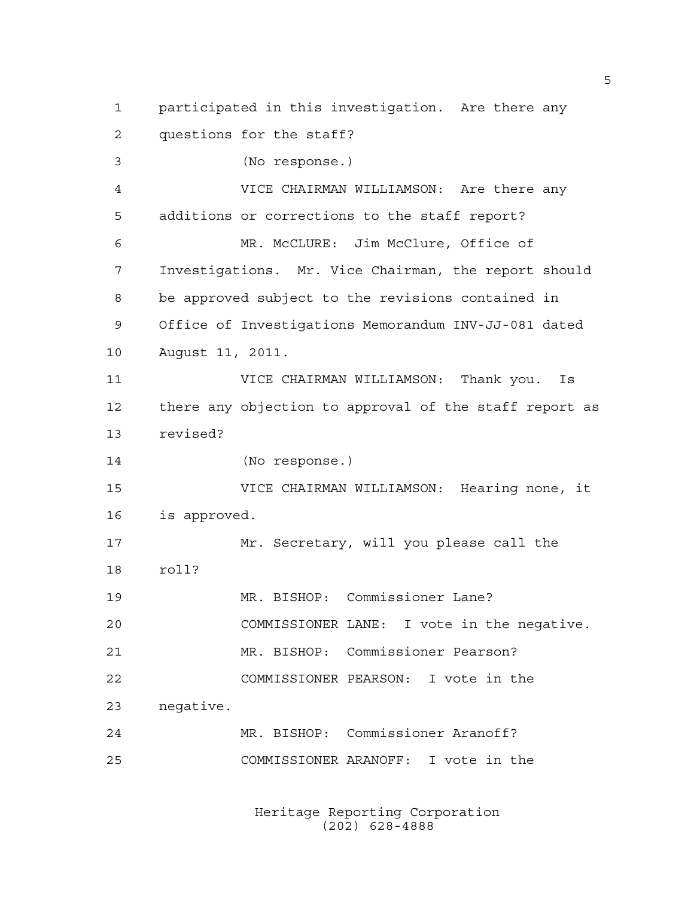participated in this investigation. Are there any questions for the staff?

(No response.)

 VICE CHAIRMAN WILLIAMSON: Are there any additions or corrections to the staff report?

 MR. McCLURE: Jim McClure, Office of Investigations. Mr. Vice Chairman, the report should be approved subject to the revisions contained in Office of Investigations Memorandum INV-JJ-081 dated August 11, 2011.

 VICE CHAIRMAN WILLIAMSON: Thank you. Is there any objection to approval of the staff report as revised?

(No response.)

 VICE CHAIRMAN WILLIAMSON: Hearing none, it is approved.

 Mr. Secretary, will you please call the roll? MR. BISHOP: Commissioner Lane?

 COMMISSIONER LANE: I vote in the negative. MR. BISHOP: Commissioner Pearson?

COMMISSIONER PEARSON: I vote in the

negative.

 MR. BISHOP: Commissioner Aranoff? COMMISSIONER ARANOFF: I vote in the

> Heritage Reporting Corporation (202) 628-4888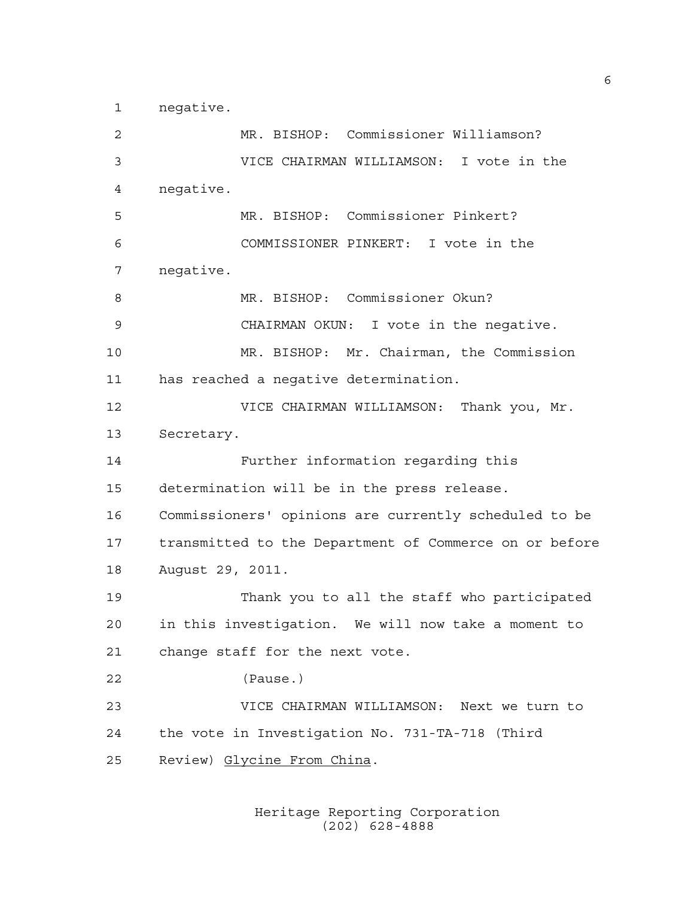negative.

 MR. BISHOP: Commissioner Williamson? VICE CHAIRMAN WILLIAMSON: I vote in the negative. MR. BISHOP: Commissioner Pinkert? COMMISSIONER PINKERT: I vote in the negative. MR. BISHOP: Commissioner Okun? CHAIRMAN OKUN: I vote in the negative. MR. BISHOP: Mr. Chairman, the Commission has reached a negative determination. VICE CHAIRMAN WILLIAMSON: Thank you, Mr. Secretary. Further information regarding this determination will be in the press release. Commissioners' opinions are currently scheduled to be transmitted to the Department of Commerce on or before August 29, 2011. Thank you to all the staff who participated in this investigation. We will now take a moment to change staff for the next vote. (Pause.) VICE CHAIRMAN WILLIAMSON: Next we turn to the vote in Investigation No. 731-TA-718 (Third Review) Glycine From China.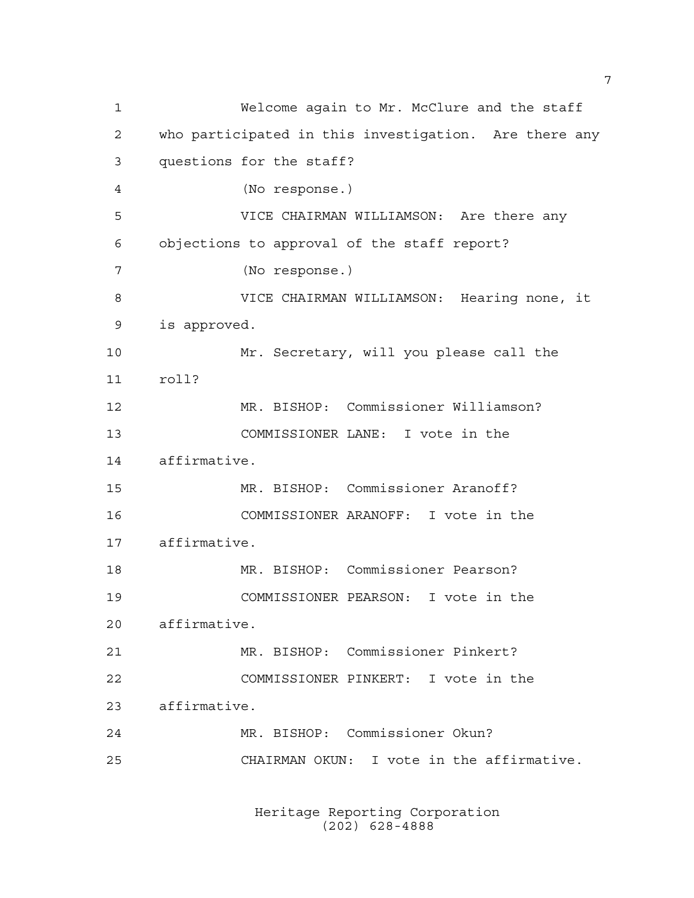Welcome again to Mr. McClure and the staff who participated in this investigation. Are there any questions for the staff? (No response.) VICE CHAIRMAN WILLIAMSON: Are there any objections to approval of the staff report? (No response.) VICE CHAIRMAN WILLIAMSON: Hearing none, it is approved. Mr. Secretary, will you please call the roll? MR. BISHOP: Commissioner Williamson? COMMISSIONER LANE: I vote in the affirmative. MR. BISHOP: Commissioner Aranoff? COMMISSIONER ARANOFF: I vote in the affirmative. MR. BISHOP: Commissioner Pearson? COMMISSIONER PEARSON: I vote in the affirmative. MR. BISHOP: Commissioner Pinkert? COMMISSIONER PINKERT: I vote in the affirmative. MR. BISHOP: Commissioner Okun? CHAIRMAN OKUN: I vote in the affirmative.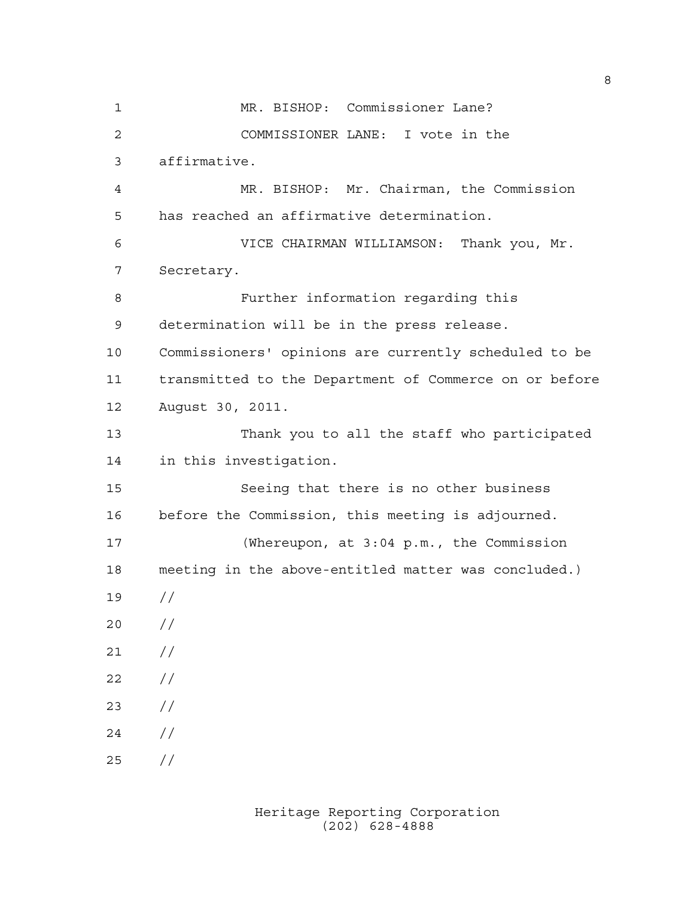MR. BISHOP: Commissioner Lane? COMMISSIONER LANE: I vote in the affirmative. MR. BISHOP: Mr. Chairman, the Commission has reached an affirmative determination. VICE CHAIRMAN WILLIAMSON: Thank you, Mr. Secretary. Further information regarding this determination will be in the press release. Commissioners' opinions are currently scheduled to be transmitted to the Department of Commerce on or before August 30, 2011. Thank you to all the staff who participated in this investigation. Seeing that there is no other business before the Commission, this meeting is adjourned. (Whereupon, at 3:04 p.m., the Commission meeting in the above-entitled matter was concluded.) //  $20 /$  $21 /$  $22 / /$  //  $24 /$ //

> Heritage Reporting Corporation (202) 628-4888